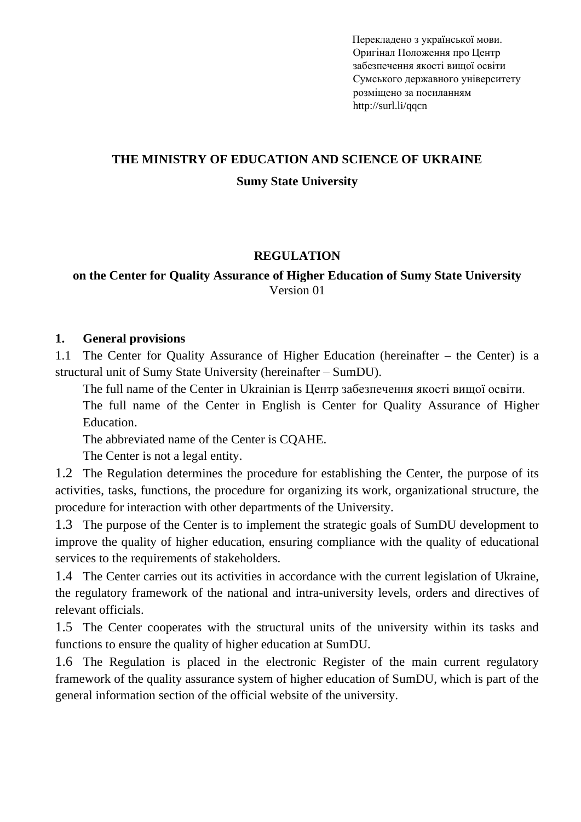Перекладено з української мови. Оригіна[л Положення про Центр](http://normative.sumdu.edu.ua/?task=getfile&tmpl=component&id=fe3a1f9e-9c36-e911-9278-001a4be6d04a&kind=1)  [забезпечення якості вищої освіти](http://normative.sumdu.edu.ua/?task=getfile&tmpl=component&id=fe3a1f9e-9c36-e911-9278-001a4be6d04a&kind=1)  [Сумського державного університету](http://normative.sumdu.edu.ua/?task=getfile&tmpl=component&id=fe3a1f9e-9c36-e911-9278-001a4be6d04a&kind=1) розміщено за посиланням http://surl.li/qqcn

# **THE MINISTRY OF EDUCATION AND SCIENCE OF UKRAINE Sumy State University**

#### **REGULATION**

#### **on the Center for Quality Assurance of Higher Education of Sumy State University** Version 01

#### **1. General provisions**

1.1 The Center for Quality Assurance of Higher Education (hereinafter – the Center) is a structural unit of Sumy State University (hereinafter – SumDU).

The full name of the Center in Ukrainian is Центр забезпечення якості вищої освіти.

The full name of the Center in English is Center for Quality Assurance of Higher Education.

The abbreviated name of the Center is CQAHE.

The Center is not a legal entity.

1.2 The Regulation determines the procedure for establishing the Center, the purpose of its activities, tasks, functions, the procedure for organizing its work, organizational structure, the procedure for interaction with other departments of the University.

1.3 The purpose of the Center is to implement the strategic goals of SumDU development to improve the quality of higher education, ensuring compliance with the quality of educational services to the requirements of stakeholders.

1.4 The Center carries out its activities in accordance with the current legislation of Ukraine, the regulatory framework of the national and intra-university levels, orders and directives of relevant officials.

1.5 The Center cooperates with the structural units of the university within its tasks and functions to ensure the quality of higher education at SumDU.

1.6 The Regulation is placed in the electronic Register of the main current regulatory framework of the quality assurance system of higher education of SumDU, which is part of the general information section of the official website of the university.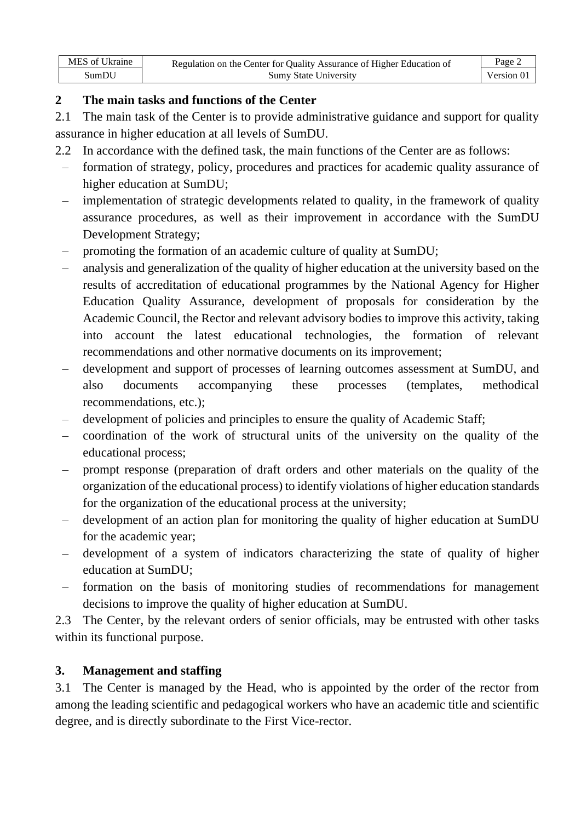| MES of Ukraine | Regulation on the Center for Quality Assurance of Higher Education of<br><b>Sumy State University</b> | Page $\angle$ |
|----------------|-------------------------------------------------------------------------------------------------------|---------------|
| SumDU          |                                                                                                       | Version 01    |

## **2 The main tasks and functions of the Center**

2.1 The main task of the Center is to provide administrative guidance and support for quality assurance in higher education at all levels of SumDU.

- 2.2 In accordance with the defined task, the main functions of the Center are as follows:
	- formation of strategy, policy, procedures and practices for academic quality assurance of higher education at SumDU;
	- implementation of strategic developments related to quality, in the framework of quality assurance procedures, as well as their improvement in accordance with the SumDU Development Strategy;
	- promoting the formation of an academic culture of quality at SumDU;
	- analysis and generalization of the quality of higher education at the university based on the results of accreditation of educational programmes by the National Agency for Higher Education Quality Assurance, development of proposals for consideration by the Academic Council, the Rector and relevant advisory bodies to improve this activity, taking into account the latest educational technologies, the formation of relevant recommendations and other normative documents on its improvement;
	- development and support of processes of learning outcomes assessment at SumDU, and also documents accompanying these processes (templates, methodical recommendations, etc.);
	- development of policies and principles to ensure the quality of Academic Staff;
	- coordination of the work of structural units of the university on the quality of the educational process;
	- prompt response (preparation of draft orders and other materials on the quality of the organization of the educational process) to identify violations of higher education standards for the organization of the educational process at the university;
	- development of an action plan for monitoring the quality of higher education at SumDU for the academic year;
	- development of a system of indicators characterizing the state of quality of higher education at SumDU;
	- formation on the basis of monitoring studies of recommendations for management decisions to improve the quality of higher education at SumDU.

2.3 The Center, by the relevant orders of senior officials, may be entrusted with other tasks within its functional purpose.

# **3. Management and staffing**

3.1 The Center is managed by the Head, who is appointed by the order of the rector from among the leading scientific and pedagogical workers who have an academic title and scientific degree, and is directly subordinate to the First Vice-rector.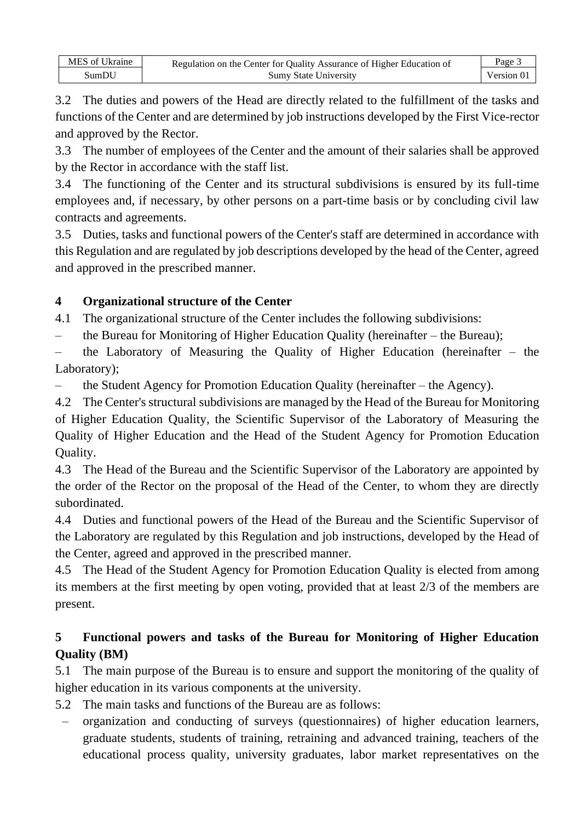| MES of Ukraine | Regulation on the Center for Quality Assurance of Higher Education of | Page $\mathcal{F}$ |
|----------------|-----------------------------------------------------------------------|--------------------|
| SumDU          | <b>Sumy State University</b>                                          | Version 01         |

3.2 The duties and powers of the Head are directly related to the fulfillment of the tasks and functions of the Center and are determined by job instructions developed by the First Vice-rector and approved by the Rector.

3.3 The number of employees of the Center and the amount of their salaries shall be approved by the Rector in accordance with the staff list.

3.4 The functioning of the Center and its structural subdivisions is ensured by its full-time employees and, if necessary, by other persons on a part-time basis or by concluding civil law contracts and agreements.

3.5 Duties, tasks and functional powers of the Center's staff are determined in accordance with this Regulation and are regulated by job descriptions developed by the head of the Center, agreed and approved in the prescribed manner.

## **4 Organizational structure of the Center**

4.1 The organizational structure of the Center includes the following subdivisions:

– the Bureau for Monitoring of Higher Education Quality (hereinafter – the Bureau);

the Laboratory of Measuring the Quality of Higher Education (hereinafter  $-$  the Laboratory);

– the Student Agency for Promotion Education Quality (hereinafter – the Agency).

4.2 The Center's structural subdivisions are managed by the Head of the Bureau for Monitoring of Higher Education Quality, the Scientific Supervisor of the Laboratory of Measuring the Quality of Higher Education and the Head of the Student Agency for Promotion Education Quality.

4.3 The Head of the Bureau and the Scientific Supervisor of the Laboratory are appointed by the order of the Rector on the proposal of the Head of the Center, to whom they are directly subordinated.

4.4 Duties and functional powers of the Head of the Bureau and the Scientific Supervisor of the Laboratory are regulated by this Regulation and job instructions, developed by the Head of the Center, agreed and approved in the prescribed manner.

4.5 The Head of the Student Agency for Promotion Education Quality is elected from among its members at the first meeting by open voting, provided that at least 2/3 of the members are present.

# **5 Functional powers and tasks of the Bureau for Monitoring of Higher Education Quality (BM)**

5.1 The main purpose of the Bureau is to ensure and support the monitoring of the quality of higher education in its various components at the university.

5.2 The main tasks and functions of the Bureau are as follows:

– organization and conducting of surveys (questionnaires) of higher education learners, graduate students, students of training, retraining and advanced training, teachers of the educational process quality, university graduates, labor market representatives on the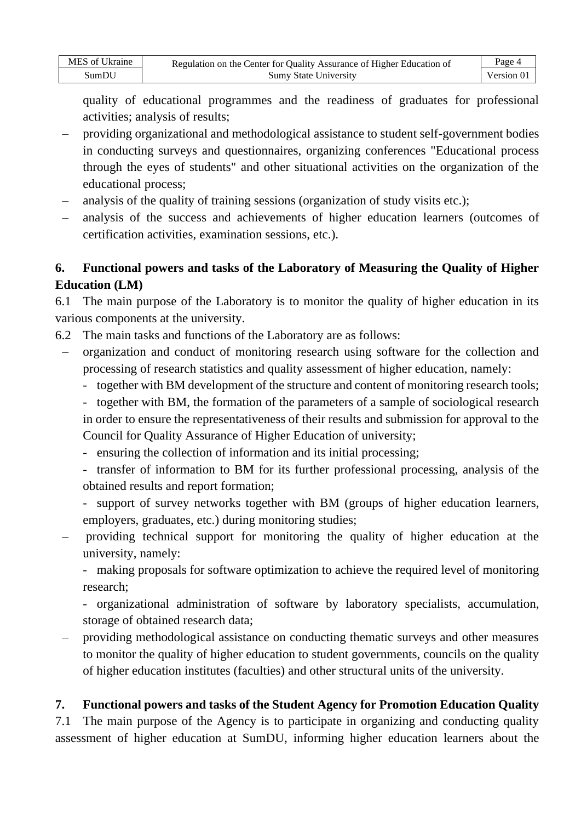| MES of Ukraine | Regulation on the Center for Quality Assurance of Higher Education of<br><b>Sumy State University</b> | Page 4     |
|----------------|-------------------------------------------------------------------------------------------------------|------------|
| SumDU          |                                                                                                       | Version 01 |

quality of educational programmes and the readiness of graduates for professional activities; analysis of results;

- providing organizational and methodological assistance to student self-government bodies in conducting surveys and questionnaires, organizing conferences "Educational process through the eyes of students" and other situational activities on the organization of the educational process;
- analysis of the quality of training sessions (organization of study visits etc.);
- analysis of the success and achievements of higher education learners (outcomes of certification activities, examination sessions, etc.).

## **6. Functional powers and tasks of the Laboratory of Measuring the Quality of Higher Education (LM)**

6.1 The main purpose of the Laboratory is to monitor the quality of higher education in its various components at the university.

- 6.2 The main tasks and functions of the Laboratory are as follows:
- organization and conduct of monitoring research using software for the collection and processing of research statistics and quality assessment of higher education, namely:
	- together with BM development of the structure and content of monitoring research tools;
	- together with BM, the formation of the parameters of a sample of sociological research in order to ensure the representativeness of their results and submission for approval to the Council for Quality Assurance of Higher Education of university;
	- ensuring the collection of information and its initial processing;
	- transfer of information to BM for its further professional processing, analysis of the obtained results and report formation;
	- support of survey networks together with BM (groups of higher education learners, employers, graduates, etc.) during monitoring studies;
- providing technical support for monitoring the quality of higher education at the university, namely:

- making proposals for software optimization to achieve the required level of monitoring research;

- organizational administration of software by laboratory specialists, accumulation, storage of obtained research data;

– providing methodological assistance on conducting thematic surveys and other measures to monitor the quality of higher education to student governments, councils on the quality of higher education institutes (faculties) and other structural units of the university.

#### **7. Functional powers and tasks of the Student Agency for Promotion Education Quality**

7.1 The main purpose of the Agency is to participate in organizing and conducting quality assessment of higher education at SumDU, informing higher education learners about the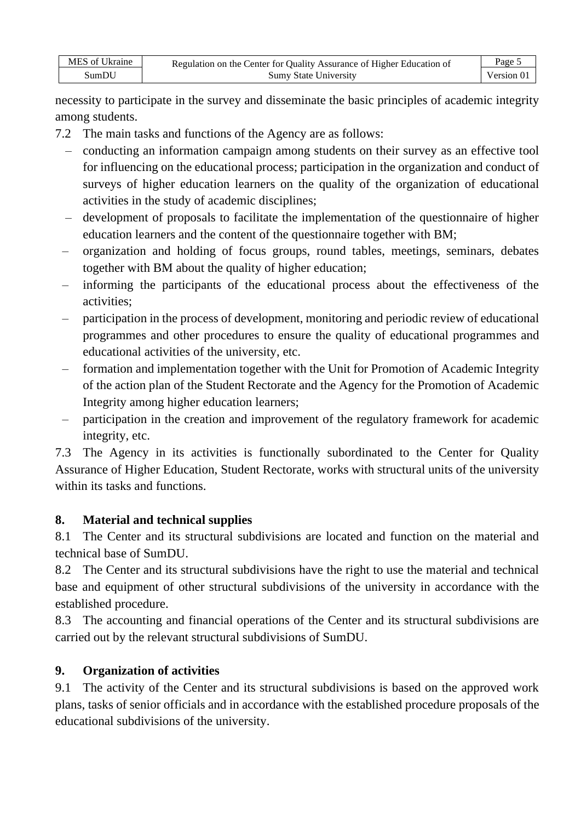| MES of Ukraine | Regulation on the Center for Quality Assurance of Higher Education of | Page 5     |
|----------------|-----------------------------------------------------------------------|------------|
| SumDU          | <b>Sumy State University</b>                                          | Version 0. |

necessity to participate in the survey and disseminate the basic principles of academic integrity among students.

- 7.2 The main tasks and functions of the Agency are as follows:
	- conducting an information campaign among students on their survey as an effective tool for influencing on the educational process; participation in the organization and conduct of surveys of higher education learners on the quality of the organization of educational activities in the study of academic disciplines;
	- development of proposals to facilitate the implementation of the questionnaire of higher education learners and the content of the questionnaire together with BM;
	- organization and holding of focus groups, round tables, meetings, seminars, debates together with BM about the quality of higher education;
	- informing the participants of the educational process about the effectiveness of the activities;
	- participation in the process of development, monitoring and periodic review of educational programmes and other procedures to ensure the quality of educational programmes and educational activities of the university, etc.
	- formation and implementation together with the Unit for Promotion of Academic Integrity of the action plan of the Student Rectorate and the Agency for the Promotion of Academic Integrity among higher education learners;
	- participation in the creation and improvement of the regulatory framework for academic integrity, etc.

7.3 The Agency in its activities is functionally subordinated to the Center for Quality Assurance of Higher Education, Student Rectorate, works with structural units of the university within its tasks and functions.

# **8. Material and technical supplies**

8.1 The Center and its structural subdivisions are located and function on the material and technical base of SumDU.

8.2 The Center and its structural subdivisions have the right to use the material and technical base and equipment of other structural subdivisions of the university in accordance with the established procedure.

8.3 The accounting and financial operations of the Center and its structural subdivisions are carried out by the relevant structural subdivisions of SumDU.

# **9. Organization of activities**

9.1 The activity of the Center and its structural subdivisions is based on the approved work plans, tasks of senior officials and in accordance with the established procedure proposals of the educational subdivisions of the university.